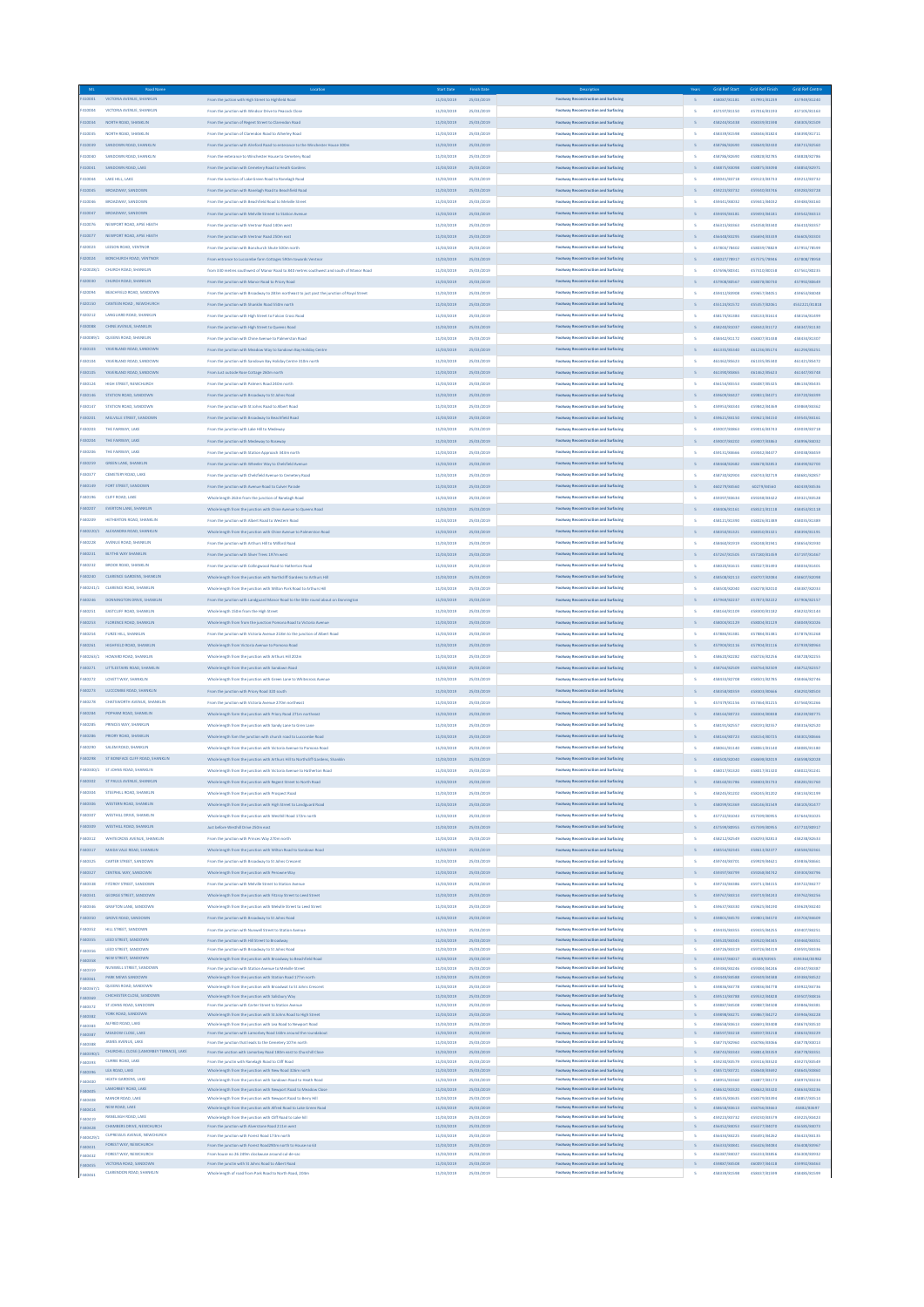|                    | Road Nar                                                       |                                                                                                                       |                          |                          |                                                                              |                          | id Ref Sta                   | Grid Ref Fini:               | <b>Grid Ref Centn</b>         |
|--------------------|----------------------------------------------------------------|-----------------------------------------------------------------------------------------------------------------------|--------------------------|--------------------------|------------------------------------------------------------------------------|--------------------------|------------------------------|------------------------------|-------------------------------|
| F410001            | VICTORIA AVENUE, SHANKLII                                      | From the juction with High Street to Highfield Road                                                                   | 11/03/2019               | 25/03/2019               | Footway Reconstruction and Surfacing                                         |                          | 458087/81181                 | 457991/81239                 | 457949/81240                  |
| F410004            | VICTORIA AVENUE, SHANKLIN                                      | From the junction with Windsor Drive to Peacock Close                                                                 | 11/03/2019               | 25/03/2019               | Footway Reconstruction and Surfacing                                         | $\overline{\phantom{a}}$ | 457197/81150                 | 457016/81193                 | 457105/81163                  |
| F410034            | NORTH ROAD, SHANKLIN                                           | From the junction of Regent Street to Clarendon Road                                                                  | 11/03/2019               | 25/03/2019               | Footway Reconstruction and Surfacing                                         |                          | 458244/81438                 | 458339/81598                 | 458305/81509                  |
| F410035            | NORTH ROAD, SHANKLIN                                           | From the junction of Clarendon Road to Atherley Road                                                                  | 11/03/2019               | 25/03/2019               | Footway Reconstruction and Surfacing                                         | -s.                      | 458339/81598                 | 458446/81824                 | 458390/81711                  |
| F410039            | SANDOWN ROAD, SHANKLIN                                         | From the junction with Alreford Road to enterance to the Winchester House 300m                                        | 11/03/2019               | 25/03/2019               | Footway Reconstruction and Surfacing                                         |                          | 458786/82690                 | 458649/82430                 | 458715/82560                  |
| F410040            | SANDOWN ROAD, SHANKLIN                                         | From the enterance to Winchester House to Cemetery Road                                                               | 11/03/2019               | 25/03/2019               | Footway Reconstruction and Surfacing                                         | $\overline{\mathbf{s}}$  | 458786/82690                 | 458828/82785                 | 458828/82786                  |
| F410041            | SANDOWN ROAD LAKE                                              | From the junction with Cemetery Road to Heath Garden                                                                  | 11/03/2019               | 25/03/2019               | Footway Reconstruction and Surfacing                                         |                          | 458875/83098                 | 458875/83098                 | 458850/82971                  |
| F410044            | LAKE HILL LAKE                                                 | From the Junction of Lake Green Road to Ranelagh Road                                                                 | 11/03/2019               | 25/03/2019               | Footway Reconstruction and Surfacing                                         | <b>S</b>                 | 459041/83718                 | 459123/83733                 | 459212/83732                  |
| F410045            | BROADWAY, SANDOWN                                              | From the junction with Ranelagh Road to Beachfield Road                                                               | 11/03/2019               | 25/03/2019               | Footway Reconstruction and Surfacing                                         |                          | 459223/83732                 | 459340/83746                 | 459283/83728                  |
| F410046            | <b>BROADWAY, SANDOWN</b>                                       | From the junction with Beachfield Road to Melville Street                                                             | 11/03/2019               | 25/03/2019               | Footway Reconstruction and Surfacing                                         | $\overline{\phantom{a}}$ | 459441/84032                 | 459441/84032                 | 459484/84160                  |
| F410047            | BROADWAY, SANDOWN                                              | From the junction with Melville Streegt to Station Avenue                                                             |                          |                          | Footway Reconstruction and Surfacing                                         |                          |                              |                              |                               |
|                    |                                                                |                                                                                                                       | 11/03/2019               | 25/03/2019               |                                                                              |                          | 459493/84181                 | 459493/84181                 | 459542/84313                  |
| F410076            | NEWPORT ROAD, APSE HEATH                                       | From the junction with Ventnor Road 140m west                                                                         | 11/03/2019               | 25/03/2019               | Footway Reconstruction and Surfacing                                         | $\overline{\phantom{a}}$ | 456315/83363                 | 454358/83340                 | 456410/83357                  |
| F410077            | NEWPORT ROAD, APSE HEATH                                       | From the junction with Ventnor Road 250m east                                                                         | 11/03/2019               | 25/03/2019               | Footway Reconstruction and Surfacing                                         |                          | 456448/83295                 | 456694/83339                 | 456605/83303                  |
| F420023            | LEESON ROAD, VENTNOR                                           | From the junction with Bonchurch Shute 500m north                                                                     | 11/03/2019               | 25/03/2019               | Footway Reconstruction and Surfacing                                         | <b>S</b>                 | 457803/78402                 | 458039/78829                 | 457955/78599                  |
| F420024            | BONCHURCH ROAD, VENTNOR                                        | From entrance to Luccombe farm Cottages 590m towards Ventnor                                                          | 11/03/2019               | 25/03/2019               | Footway Reconstruction and Surfacing                                         |                          | 458027/78917                 | 457575/78946                 | 457808/78958                  |
| F420028/1          | CHURCH ROAD, SHANKUN                                           | from 330 metres southwest of Manor Road to 840 metres southwest and south of Manor Road                               | 11/03/2019               | 25/03/2019               | Footway Reconstruction and Surfacing                                         | s                        | 457696/80341                 | 457410/80158                 | 457561/80235                  |
| F420030            | CHURCH ROAD, SHANKLIN                                          | From the junction with Manor Road to Priory Road                                                                      | 11/03/2019               | 25/03/2019               | Footway Reconstruction and Surfacing                                         |                          | 457908/80567                 | 458078/80730                 | 457992/80649                  |
| F420094            | BEACHFIELD ROAD, SANDOWN                                       | From the junction with Broadway to 283m northeast to just past the junction of Royal Street                           | 11/03/2019               | 25/03/2019               | Footway Reconstruction and Surfacing                                         | -s                       | 459412/83908                 | 459657/84051                 | 459653/84048                  |
| F420150            | CANTEEN ROAD, NEWCHURCH                                        | From the junction with Shanklin Road 550m north                                                                       | 11/03/2019               | 25/03/2019               | Footway Reconstruction and Surfacing                                         |                          | 455124/81572                 | 455357/82051                 | 4552221/81818                 |
| F420212            | LANGUARD ROAD, SHANKLIN                                        | From the junction with High Street to Falcon Cross Road                                                               | 11/03/2019               | 25/03/2019               | Footway Reconstruction and Surfacing                                         | S.                       | 458174/81384                 | 458133/81614                 | 458156/81499                  |
| F430088            | CHINE AVENUE, SHANKLIN                                         |                                                                                                                       |                          |                          | Footway Reconstruction and Surfacing                                         |                          |                              |                              |                               |
|                    |                                                                | From the junction with High Street to Queens Road                                                                     | 11/03/2019               | 25/03/2019               |                                                                              |                          | 458240/81037                 | 458442/81172                 | 458347/81130                  |
| 430089/1           | QUEENS ROAD, SHANKLIN                                          | From the junction with Chine Avenue to Palmerston Road                                                                | 11/03/2019               | 25/03/2019               | Footway Reconstruction and Surfacing                                         | <b>s</b>                 | 458442/81172                 | 458407/81438                 | 458434/81307                  |
| F430103            | YAVERLAND ROAD, SANDOWN                                        | From the junction with Meadow Way to Sandown Bay Holiday Centre                                                       | 11/03/2019               | 25/03/2019               | Footway Reconstruction and Surfacing                                         |                          | 461335/85340                 | 461236/85174                 | 461294/85251                  |
| F430104            | YAVERLAND ROAD, SANDOWN                                        | From the junction with Sandown Bay Holiday Centre 310m north                                                          | 11/03/2019               | 25/03/2019               | Footway Reconstruction and Surfacing                                         | <b>S</b>                 | 461462/85623                 | 461335/85340                 | 461421/85472                  |
| F430105            | YAVERLAND ROAD, SANDOWN                                        | From Just outside Rose Cottage 260m north                                                                             | 11/03/2019               | 25/03/2019               | Footway Reconstruction and Surfacing                                         |                          | 461390/85865                 | 461462/85623                 | 461447/85748                  |
| F430124            | HIGH STREET, NEWCHURCH                                         | From the junction with Palmers Road 240m north                                                                        | 11/03/2019               | 25/03/2019               | Footway Reconstruction and Surfacing                                         | $\overline{\mathbf{s}}$  | 456154/85553                 | 456087/85325                 | 486134/85435                  |
| F430146            | STATION ROAD, SANDOWN                                          | From the junction with Broadway to St Johns Road                                                                      | 11/03/2019               | 25/03/2019               | Footway Reconstruction and Surfacing                                         |                          | 459609/84427                 | 459831/84371                 | 459720/84399                  |
| F430147            | STATION ROAD, SANDOWN                                          | From the junction with St Johns Road to Albert Road                                                                   | 11/03/2019               | 25/03/2019               | Footway Reconstruction and Surfacing                                         | $\overline{\phantom{a}}$ | 459953/84344                 | 459842/84369                 | 459869/84362                  |
| F430201            | MELVILLE STREET, SANDOWN                                       | From the junction with Broadway to Beachfield Road                                                                    | 11/03/2019               | 25/03/2019               | Footway Reconstruction and Surfacing                                         |                          | 459621/84150                 | 459621/84150                 | 459545/84161                  |
| F430203            | THE FAIRWAY, LAKE                                              | From the junction with Lake Hill to Medeway                                                                           | 11/03/2019               | 25/03/2019               | Footway Reconstruction and Surfacing                                         | -s                       | 459007/83863                 | 459016/83743                 | 459039/83718                  |
| F430204            | THE FAIRWAY, LAKE                                              | From the junction with Medeway to Roseway                                                                             | 11/03/2019               | 25/03/2019               | Footway Reconstruction and Surfacing                                         |                          | 459007/84202                 | 459007/83863                 | 458996/84032                  |
|                    | THE FAIRWAY, LAKE                                              |                                                                                                                       |                          |                          |                                                                              |                          |                              |                              |                               |
| F430206            |                                                                | From the junction with Station Approach 343m north                                                                    | 11/03/2019               | 25/03/2019               | Footway Reconstruction and Surfacing                                         | $\overline{\mathbf{s}}$  | 459131/84666                 | 459042/84477                 | 459038/84459                  |
| F430259            | <b>GREEN LANE, SHANKLIN</b>                                    | From the junction with Wheeler Way to Chelsfield Avenu                                                                | 11/03/2019               | 25/03/2019               | Footway Reconstruction and Surfacing                                         |                          | 458468/82682                 | 458678/82853                 | 458490/82700                  |
| F430377            | CEMETERY ROAD, LAKE                                            | From the junction with Chelsfield Avenue to Cemetery Road                                                             | 11/03/2019               | 25/03/2019               | Footway Reconstruction and Surfacing                                         | s                        | 458730/82904                 | 458743/82719                 | 458681/82857                  |
| F440149            | FORT STREET, SANDOWN                                           | From the junction with Avenue Road to Culver Parade                                                                   | 11/03/2019               | 25/03/2019               | Footway Reconstruction and Surfacing                                         |                          | 460279/84560                 | 60279/84560                  | 460439/84536                  |
| F440196            | CLIFF ROAD, LAKE                                               | Whole length 263m from the junction of Ranelagh Road                                                                  | 11/03/2019               | 25/03/2019               | Footway Reconstruction and Surfacing                                         | -s                       | 459397/83634                 | 459248/83422                 | 459321/83528                  |
| F440207            | EVERTON LANE, SHANKLIN                                         | Whole length from the junction with Chine Avenue to Queens Road                                                       | 11/03/2019               | 25/03/2019               | Footway Reconstruction and Surfacing                                         |                          | 458406/81161                 | 458521/81118                 | 458453/81118                  |
| 440209             | HETHERTON ROAD, SHANKLIN                                       | From the junction with Albert Road to Western Road                                                                    | 11/03/2019               | 25/03/2019               | Footway Reconstruction and Surfacing                                         | <b>s</b>                 | 458121/81390                 | 458026/81389                 | 458035/81389                  |
| 440220/1           | ALEXANDRA ROAD, SHANKLIN                                       | Whole length from the junction with Chine Avenue to Palmerston Road                                                   | 11/03/2019               | 25/03/2019               | Footway Reconstruction and Surfacing                                         |                          | 458350/81321                 | 458350/81321                 | 458394/81191                  |
| 440228             | AVENUE ROAD, SHANKLIN                                          | From the junction with Arthurs Hill to Milford Road                                                                   | 11/03/2019               | 25/03/2019               | Footway Reconstruction and Surfacing                                         | $\overline{\phantom{a}}$ | 458460/81919                 | 458248/81941                 | 458654/81930                  |
|                    | BLYTHE WAY SHANKLIN                                            |                                                                                                                       |                          |                          | Footway Reconstruction and Surfacing                                         |                          |                              |                              |                               |
| F440231            |                                                                | From the junction with Sliver Trees 197m west                                                                         | 11/03/2019               | 25/03/2019               |                                                                              |                          | 457267/81505                 | 457180/81459                 | 457197/81467                  |
| F440232            | <b>BROOK ROAD, SHANKLIN</b>                                    | From the junction with Collingwood Road to Hatherton Road                                                             | 11/03/2019               | 25/03/2019               | Footway Reconstruction and Surfacing                                         | $\overline{\phantom{a}}$ | 458020/81615                 | 458027/81493                 | 458034/81401                  |
| F440240            | CLARENCE GARDENS, SHANKLIN                                     | Whole length from the junction with Northcliff Gardens to Arthurs Hill                                                | 11/03/2019               | 25/03/2019               | Footway Reconstruction and Surfacing                                         |                          | 458508/82113                 | 458707/82084                 | 458607/82098                  |
| F440241/1          | <b>CLARENCE ROAD, SHANKLIN</b>                                 | Whole length from the junction with Wilton Park Road to Arthurs Hill                                                  | 11/03/2019               | 25/03/2019               | Footway Reconstruction and Surfacing                                         | -s                       | 458500/82040                 | 458278/82010                 | 458387/82033                  |
| F440246            | DONNINGTON DRIVE, SHANKLIN                                     | From the junction with Landguard Manor Road to the little round about on Donnington                                   | 11/03/2019               | 25/03/2019               | Footway Reconstruction and Surfacing                                         |                          | 457969/82237                 | 457873/82222                 | 457906/82157                  |
| F440251            | EASTCLIFF ROAD, SHANKLI                                        | Whole length 150m from the High Street                                                                                | 11/03/2019               | 25/03/2019               | Footway Reconstruction and Surfacing                                         | $\overline{\phantom{a}}$ | 458164/81109                 | 458300/81182                 | 458232/81144                  |
| F440253            | <b>FLORENCE ROAD, SHANKLIP</b>                                 | Whole length from from the junction Pomona Road to Victoria Avenue                                                    | 11/03/2019               | 25/03/2019               | Footway Reconstruction and Surfacing                                         |                          | 458004/81129                 | 458004/81129                 | 458049/81026                  |
| F440254            | FURZE HILL, SHANKLIN                                           | From the junction with Victoria Avenue 218m to the junction of Albert Road                                            | 11/03/2019               | 25/03/2019               | Footway Reconstruction and Surfacing                                         | s                        | 457884/81381                 | 457884/81381                 | 457876/81268                  |
| F440261            | HIGHFIELD ROAD, SHANKLIN                                       | Whole length from Victoria Avenue to Pomona Road                                                                      | 11/03/2019               | 25/03/2019               | Footway Reconstruction and Surfacing                                         |                          | 457904/81116                 | 457904/81116                 | 457939/80964                  |
| F440263/1          | HOWARD ROAD, SHANKLIN                                          | Whole length from the junction with Arthurs Hill 202n                                                                 | 11/03/2019               | 25/03/2019               | Footway Reconstruction and Surfacing                                         | $\overline{\mathbf{s}}$  | 458620/82282                 | 458726/82256                 | 458728/82255                  |
|                    |                                                                |                                                                                                                       |                          |                          |                                                                              |                          |                              |                              |                               |
| F440271            | LITTLESTAIRS ROAD, SHANKUN                                     | Whole length from the junction with Sandown Road                                                                      | 11/03/2019               | 25/03/2019               | Footway Reconstruction and Surfacing                                         |                          | 458764/82509                 | 458764/82509                 | 458752/82357                  |
| F440272            | LOVETT WAY, SHANKLIN                                           | Whole length from the junction with Green Lane to Whitecross Avenue                                                   | 11/03/2019               | 25/03/2019               | Footway Reconstruction and Surfacing                                         | S.                       | 458433/82708                 | 458501/82785                 | 458466/82746                  |
| F440273            | LUCCOMBE ROAD, SHANKLIN                                        | From the junction with Priory Road 320 south                                                                          | 11/03/2019               | 25/03/2019               | Footway Reconstruction and Surfacing                                         |                          | 458358/80359                 | 458303/80666                 | 458292/80503                  |
| 440278             | CHATSWORTH AVENUE, SHANKLIN                                    | From the junction with Victoria Avenue 270m northeast                                                                 | 11/03/2019               | 25/03/2019               | Footway Reconstruction and Surfacing                                         | -s                       | 457479/81156                 | 457464/81215                 | 457560/81266                  |
| F440284            | POPHAM ROAD, SHANKLIN                                          | Whole length form the junction with Priory Road 271m northeast                                                        | 11/03/2019               | 25/03/2019               | Footway Reconstruction and Surfacing                                         |                          | 458164/80723                 | 458304/80838                 | 458239/80775                  |
| 440285             | PRINCES WAY, SHANKLIN                                          | Whole length from the junction with Sandy Lane to Gren Lane                                                           | 11/03/2019               | 25/03/2019               | Footway Reconstruction and Surfacing                                         | $\mathsf{s}$             | 458191/82557                 | 458191/82557                 | 458316/82520                  |
| F440286            | PRIORY ROAD, SHANKLIN                                          | Whole length form the junction with church road to Luccombe Road                                                      | 11/03/2019               | 25/03/2019               | Footway Reconstruction and Surfacing                                         |                          | 458164/80723                 | 458154/80725                 | 458301/80666                  |
| 440290             | SALEM ROAD, SHANKLIN                                           | Whole length from the junction with Victoria Avenue to Pomona Road                                                    | 11/03/2019               | 25/03/2019               | Footway Reconstruction and Surfacing                                         | $\overline{\mathbf{s}}$  | 458061/81140                 | 458061/81140                 | 458085/81180                  |
| F440298            | ST BONIFACE CLIFF ROAD, SHANKLIN                               | Whole length from the junction with Arthurs Hill to Northcliff Gardens, Shanklin                                      | 11/03/2019               | 25/03/2019               | Footway Reconstruction and Surfacing                                         |                          | 458500/82040                 | 458698/82019                 | 458598/82028                  |
|                    |                                                                |                                                                                                                       |                          |                          |                                                                              |                          |                              |                              |                               |
|                    | F440300/1 STJOHNS ROAD, SHANKLIN                               | Whole length from the junction with Victoria Avenue to Hatherton Road                                                 | 11/03/2019               | 25/03/2019               | Footway Reconstruction and Surfacing                                         | $\overline{\mathbf{s}}$  | 458017/81320                 | 458017/81320                 | 458022/81241                  |
| 40302              | ST PAULS AVENUE, SHANI                                         |                                                                                                                       | 11/03/201                |                          |                                                                              |                          |                              |                              |                               |
| F440304            | STEEPHILL ROAD, SHANKLIN                                       | Whole length from the junction with Prospect Road                                                                     | 11/03/2019               | 25/03/2019               | Footway Reconstruction and Surfacing                                         | -s                       | 458245/81202                 | 458245/81202                 | 458134/81199                  |
| F440306            | WESTERN ROAD, SHANKLIP                                         | Whole length from the junction with High Street to Landguard Road                                                     | 11/03/2019               | 25/03/2019               | Footway Reconstruction and Surfacing                                         |                          | 458099/81369                 | 458146/81549                 | 458105/81477                  |
| 440307             | WESTHILL DRIVE, SHANKLIN                                       | Whole length from the junction with Westhill Road 172m north                                                          | 11/03/2019               | 25/03/2019               | Footway Reconstruction and Surfacing                                         | - 5                      | 457722/81043                 | 457599/80955                 | 457644/81025                  |
| F440309            | WESTHILL ROAD, SHANKLIN                                        | Just before Westhill Drive 250m east                                                                                  | 11/03/2019               | 25/03/2019               | Footway Reconstruction and Surfacing                                         |                          | 457599/80955                 | 457599/80955                 | 457710/80917                  |
| F440312            | WHITECROSS AVENUE, SHANKLIN                                    | From the junction with Princes Way 270m north                                                                         | 11/03/2019               | 25/03/2019               | Footway Reconstruction and Surfacing                                         | s                        | 458212/82549                 | 458293/82813                 | 458238/82633                  |
| F440317            | MAIDA VALE ROAD, SHANKLIN                                      | Whole length from the junction with Wilton Road to Sandown Road                                                       | 11/03/2019               | 25/03/2019               | Footway Reconstruction and Surfacing                                         |                          | 458554/82345                 | 458613/82377                 | 458584/82361                  |
| F440325            | CARTER STREET, SANDOWN                                         | From the junction with Broadway to St Johns Crescen                                                                   | 11/03/2019               | 25/03/2019               | Footway Reconstruction and Surfacing                                         | $\overline{\mathbf{s}}$  | 459744/84701                 | 459929/84621                 | 459836/84661                  |
| F440327            | CENTRAL WAY, SANDOWN                                           | Whole length from the junction with Perowne Way                                                                       | 11/03/2019               | 25/03/2019               | Footway Reconstruction and Surfacing                                         |                          | 459397/84799                 | 459268/84742                 | 459304/84796                  |
| F440338            | FITZROY STREET, SANDOWN                                        | From the junction with Melville Street to Station Avenue                                                              | 11/03/2019               | 25/03/2019               | Footway Reconstruction and Surfacing                                         | <b>S</b>                 | 459733/84386                 | 459711/84155                 | 459722/84277                  |
| 440341             | <b>GEORGE STREET, SANDOWN</b>                                  | Whole length from the junction with Fitzroy Street to Lead Street                                                     | 11/03/2019               | 25/03/2019               | Footway Reconstruction and Surfacing                                         |                          | 459767/84314                 | 459719/84243                 | 459762/84256                  |
| 440346             | <b>GRAFTON LANE, SANDOWN</b>                                   |                                                                                                                       |                          | 25/03/2019               | Footway Reconstruction and Surfacing                                         | -s                       |                              | 459625/84190                 | 459629/84240                  |
|                    |                                                                | Whole length from the junction with Melville Street to Leed Street                                                    | 11/03/2019               |                          |                                                                              |                          | 459637/84330                 |                              | 459704/84609                  |
| 440350             | GROVE ROAD, SANDOWN                                            | From the junction with Broadway to St Johns Road                                                                      | 11/03/2019               | 25/03/2019               | Footway Reconstruction and Surfacing                                         |                          | 459801/84570                 | 459801/84570                 |                               |
| 440352             | HILL STREET, SANDOWN                                           | From the junction with Nunwell Street to Station Avenue                                                               | 11/03/2019               | 25/03/2019               | Footway Reconstruction and Surfacing                                         | $\overline{\mathbf{s}}$  | 459435/84355                 | 459435/84255                 | 459407/84251                  |
| F440355            | LEED STREET, SANDOWN                                           | From the junction with Hill Street to Broadway                                                                        | 11/03/2019               | 25/03/2019               | Footway Reconstruction and Surfacing                                         |                          | 459520/84345                 | 459520/84345                 | 459460/84351                  |
| F440356            | LEED STREET, SANDOWN<br>NEW STREET, SANDOWN                    | From the junction with Broadway to St Johns Road<br>Whole length from the junction with Broadway to Beachfield Road   | 11/03/2019<br>11/03/2019 | 25/03/2019<br>25/03/2019 | Footway Reconstruction and Surfacing<br>Footway Reconstruction and Surfacing | <b>S</b>                 | 459726/84319<br>459437/84017 | 459726/84319<br>45589/83945  | 459591/84336<br>4594364/83982 |
| F440358            | NUNWELL STREET, SANDOWN                                        | From the junction with Station Avenue to Melville Street                                                              | 11/03/2019               | 25/03/2019               | Footway Reconstruction and Surfacing                                         | <b>S</b>                 | 459384/84246                 | 459384/84246                 | 459347/84387                  |
| F440359<br>F440361 | PARK MEWS SANDOWN                                              | Whole length from the junction with Station Road 177m north                                                           | 11/03/2019               | 25/03/2019               | Footway Reconstruction and Surfacing                                         |                          | 459449/84588                 | 459449/84588                 | 459384/84522                  |
| F440367/1          | QUEENS ROAD, SANDOWN                                           | Whole length from the junction with Broadwat to St Johns Crescent                                                     | 11/03/2019               | 25/03/2019               | Footway Reconstruction and Surfacing                                         | <b>S</b>                 | 459836/84778                 | 459836/84778                 | 459922/84736                  |
| F440369            | CHICHESTER CLOSE, SANDOWN                                      | Whole length from the junction with Salisbury Way                                                                     | 11/03/2019               | 25/03/2019               | Footway Reconstruction and Surfacing                                         |                          | 459513/84788                 | 459532/84828                 | 459507/84816                  |
| F440372            | ST JOHNS ROAD, SANDOWN                                         | From the junction with Carter Street to Station Avenue                                                                | 11/03/2019               | 25/03/2019               | Footway Reconstruction and Surfacing                                         | <b>S</b>                 | 459887/84508                 | 459887/84508                 | 459846/84381                  |
| F440382            | YORK ROAD, SANDOWN                                             | Whole length from the junction with St Johns Road to High Street                                                      | 11/03/2019               | 25/03/2019               | Footway Reconstruction and Surfacing                                         |                          | 459898/84271                 | 459867/84272                 | 459946/84228                  |
| F440383            | ALFRED ROAD, LAKE                                              | Whole length from the junction with Lea Road to Newport Road                                                          | 11/03/2019               | 25/03/2019               | Footway Reconstruction and Surfacing                                         | <b>S</b>                 | 458658/83613                 | 458691/83408                 | 458674/83510                  |
| F440387            | MEADOW CLOSE, LAKE                                             | From the junction with Lamorbey Road 160m around the roundabout                                                       | 11/03/2019               | 25/03/2019               | Footway Reconstruction and Surfacing                                         |                          | 458597/83218                 | 458597/83218                 | 458633/83229                  |
| F440388            | JAMES AVENUE, LAKE<br>CHURCHILL CLOSE (LAMORBEY TERRACE), LAKE | From the junction that leads to the Cemetery 107m north                                                               | 11/03/2019               | 25/03/2019               | Footway Reconstruction and Surfacing                                         | <b>S</b>                 | 458774/82960                 | 458786/83066                 | 458778/83013                  |
| F440390/1          | <b>CURRIE ROAD, LAKE</b>                                       | From the unction with Lamorbey Road 180m east to Churchill Close<br>From the junctin with Ranelagh Road to Cliff Road | 11/03/2019<br>11/03/2019 | 25/03/2019<br>25/03/2019 | Footway Reconstruction and Surfacing<br>Footway Reconstruction and Surfacing | <b>S</b>                 | 458743/83343<br>459230/83579 | 458814/83359<br>459316/83520 | 458778/83351<br>459273/83549  |
| F440393<br>F440396 | LEA ROAD, LAKE                                                 | Whole length from the junction with New Road 326m north                                                               | 11/03/2019               | 25/03/2019               | Footway Reconstruction and Surfacing                                         |                          | 458572/83721                 | 458648/83692                 | 458645/83860                  |
| F440400            | HEATH GARDENS, LAKE                                            | Whole length from the junction with Sandown Road to Heath Road                                                        | 11/03/2019               | 25/03/2019               | Footway Reconstruction and Surfacing                                         | <b>S</b>                 | 458955/83360                 | 458877/83173                 | 458974/83234                  |
| F440405            | LAMORBEY ROAD, LAKE                                            | Whole length from the junction with Newport Road to Meadow Close                                                      | 11/03/2019               | 25/03/2019               | Footway Reconstruction and Surfacing                                         |                          | 458632/83320                 | 458632/83320                 | 458634/83236                  |
| F440408            | MANOR ROAD, LAKE                                               | Whole length from the junction with Newport Road to Berry Hill                                                        | 11/03/2019               | 25/03/2019               | Footway Reconstruction and Surfacing                                         | <b>S</b>                 | 458535/83635                 | 458579/83394                 | 458857/83514                  |
| F440414            | NEW ROAD, LAKE                                                 | Whole length from the junction with Alfred Road to Lake Green Road                                                    | 11/03/2019               | 25/03/2019               | Footway Reconstruction and Surfacing                                         |                          | 458658/83613                 | 458766/83663                 | 45882/83697                   |
| F440419            | RANELAGH ROAD, LAKE                                            | Whole lebath from the junction with Cliff Road to Lake hill                                                           | 11/03/2019               | 25/03/2019               | Footway Reconstruction and Surfacing                                         | <b>S</b>                 | 459223/83732                 | 459230/83579                 | 459225/83423                  |
| F440428            | CHAMBERS DRIVE, NEWCHURCH<br>CUPRESSUS AVENUE, NEWCHURCH       | From the junction with Alverstone Road 211m west                                                                      | 11/03/2019               | 25/03/2019               | Footway Reconstruction and Surfacing                                         |                          | 456452/84053                 | 456577/84070                 | 456585/84073                  |
| F440429/1          | FOREST WAY, NEWCHURCH                                          | From the junction with Forest Road 173m north<br>From the junction with Forest Road290m north to House no 63          | 11/03/2019<br>11/03/2019 | 25/03/2019<br>25/03/2019 | Footway Reconstruction and Surfacing<br>Footway Reconstruction and Surfacing | <b>S</b>                 | 456434/84225<br>456333/83841 | 456491/84262<br>456426/84084 | 456423/84135<br>456408/83967  |
| F440431            | FOREST WAY, NEWCHURCH                                          | From house no 26 249m clockwuse around cul-de-sar                                                                     | 11/03/2019               | 25/03/2019               | Footway Reconstruction and Surfacing                                         | s                        | 456387/84027                 | 456333/83856                 | 456300/83932                  |
| F440432<br>F440455 | VICTORIA ROAD, SANDOWN                                         | From the junctin with St Johns Road to Albert Road                                                                    | 11/03/2019               | 25/03/2019               | Footway Reconstruction and Surfacing                                         |                          | 459887/84508                 | 460097/84418                 | 459992/84463                  |
| F440461            | CLARENDON ROAD, SHANKLIN                                       | Whole length of road from Park Road to North Road, 204m                                                               | 11/03/2019               | 25/03/2019               | Footway Reconstruction and Surfacing                                         | <b>S</b>                 | 458339/81598                 | 458437/81599                 | 458485/81599                  |